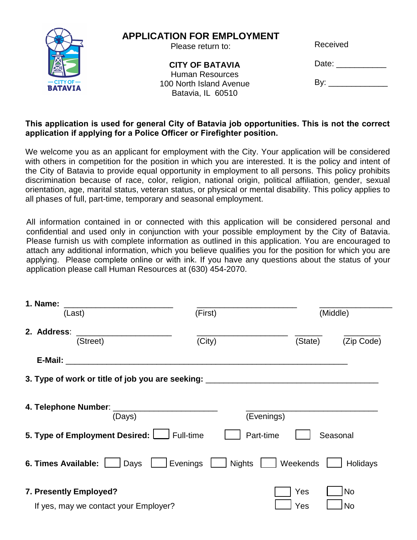

# **APPLICATION FOR EMPLOYMENT**

Please return to:

**CITY OF BATAVIA** Human Resources 100 North Island Avenue Batavia, IL 60510

Received

Date: \_\_\_\_\_\_\_\_\_\_\_\_

By: \_\_\_\_ \_\_\_\_\_ \_\_\_\_

### **This application is used for general City of Batavia job opportunities. This is not the correct application if applying for a Police Officer or Firefighter position.**

We welcome you as an applicant for employment with the City. Your application will be considered with others in competition for the position in which you are interested. It is the policy and intent of the City of Batavia to provide equal opportunity in employment to all persons. This policy prohibits discrimination because of race, color, religion, national origin, political affiliation, gender, sexual orientation, age, marital status, veteran status, or physical or mental disability. This policy applies to all phases of full, part-time, temporary and seasonal employment.

All information contained in or connected with this application will be considered personal and confidential and used only in conjunction with your possible employment by the City of Batavia. Please furnish us with complete information as outlined in this application. You are encouraged to attach any additional information, which you believe qualifies you for the position for which you are applying. Please complete online or with ink. If you have any questions about the status of your application please call Human Resources at (630) 454-2070.

| 1. Name:                                                                         |                                                    |            |            |
|----------------------------------------------------------------------------------|----------------------------------------------------|------------|------------|
| (Last)                                                                           | (First)                                            |            | (Middle)   |
| 2. Address:<br>(Street)                                                          | (City)                                             | (State)    | (Zip Code) |
| E-Mail:                                                                          |                                                    |            |            |
| 3. Type of work or title of job you are seeking: _______________________________ |                                                    |            |            |
| (Days)                                                                           |                                                    | (Evenings) |            |
| 5. Type of Employment Desired: Full-time                                         |                                                    | Part-time  | Seasonal   |
| 6. Times Available:<br>Days                                                      | $\overline{\phantom{a}}$ Evenings<br><b>Nights</b> | Weekends   | Holidays   |
| 7. Presently Employed?                                                           |                                                    | Yes        | <b>No</b>  |
| If yes, may we contact your Employer?                                            |                                                    | Yes        | No         |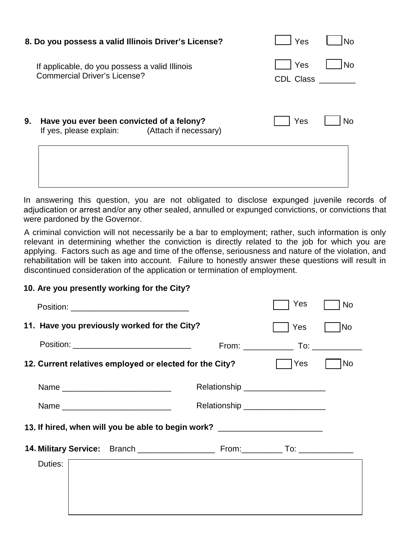|    | 8. Do you possess a valid Illinois Driver's License?                                          | Yes                     |    |
|----|-----------------------------------------------------------------------------------------------|-------------------------|----|
|    | If applicable, do you possess a valid Illinois<br><b>Commercial Driver's License?</b>         | Yes<br><b>CDL Class</b> | No |
| 9. | Have you ever been convicted of a felony?<br>If yes, please explain:<br>(Attach if necessary) | Yes                     | No |
|    |                                                                                               |                         |    |

In answering this question, you are not obligated to disclose expunged juvenile records of adjudication or arrest and/or any other sealed, annulled or expunged convictions, or convictions that were pardoned by the Governor.

A criminal conviction will not necessarily be a bar to employment; rather, such information is only relevant in determining whether the conviction is directly related to the job for which you are applying. Factors such as age and time of the offense, seriousness and nature of the violation, and rehabilitation will be taken into account. Failure to honestly answer these questions will result in discontinued consideration of the application or termination of employment.

#### **10. Are you presently working for the City?**

|                                                                                  |                                     | Yes   | <b>No</b> |  |
|----------------------------------------------------------------------------------|-------------------------------------|-------|-----------|--|
| 11. Have you previously worked for the City?                                     |                                     | Yes   | No        |  |
| Position: __________________________________                                     |                                     |       |           |  |
| 12. Current relatives employed or elected for the City?                          |                                     | l Yes | <b>No</b> |  |
| Name                                                                             | Relationship ____________________   |       |           |  |
|                                                                                  | Relationship ______________________ |       |           |  |
| 13. If hired, when will you be able to begin work? _____________________________ |                                     |       |           |  |
|                                                                                  |                                     |       |           |  |
| Duties:                                                                          |                                     |       |           |  |
|                                                                                  |                                     |       |           |  |
|                                                                                  |                                     |       |           |  |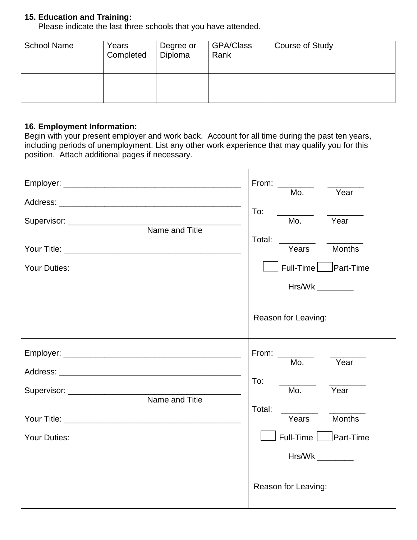# **15. Education and Training:**

Please indicate the last three schools that you have attended.

| <b>School Name</b> | Years<br>Completed | Degree or<br>Diploma | GPA/Class<br>Rank | <b>Course of Study</b> |
|--------------------|--------------------|----------------------|-------------------|------------------------|
|                    |                    |                      |                   |                        |
|                    |                    |                      |                   |                        |
|                    |                    |                      |                   |                        |

# **16. Employment Information:**

Begin with your present employer and work back. Account for all time during the past ten years, including periods of unemployment. List any other work experience that may qualify you for this position. Attach additional pages if necessary.

|                                                                                                                                                                                                                                                                                                                  | From: $\frac{1}{2}$<br>Year<br>Mo.<br>To:<br>Year<br>Mo.                                                                               |
|------------------------------------------------------------------------------------------------------------------------------------------------------------------------------------------------------------------------------------------------------------------------------------------------------------------|----------------------------------------------------------------------------------------------------------------------------------------|
| Name and Title<br><b>Your Duties:</b>                                                                                                                                                                                                                                                                            | Total:<br><b>Months</b><br>Years<br>Full-Time   Part-Time<br>Hrs/Wk<br>Reason for Leaving:                                             |
| Supervisor: _____________________<br>Name and Title<br><b>The Vour Title:</b> The Vour Product of the Vour Product of the Vour Product of the Vour Product of the Vour Product of the Vour Product of the Vour Product of the Vour Product of the Vour Product of the Vour Product of the<br><b>Your Duties:</b> | From:<br>Year<br>Mo.<br>To:<br>Mo.<br>Year<br>Total:<br><b>Months</b><br>Years<br>Full-Time Part-Time<br>Hrs/Wk<br>Reason for Leaving: |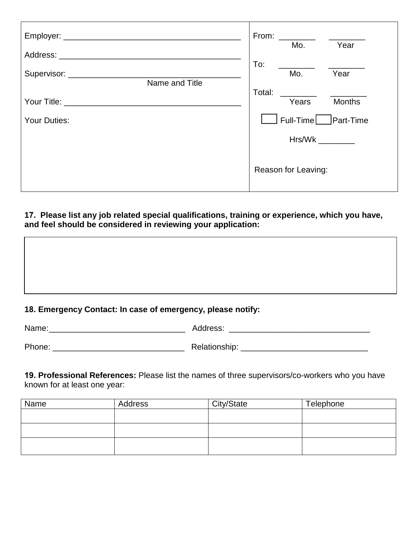|                            | From:<br><u> 1989 - Jan Jawa</u><br>Year<br>Mo. |  |
|----------------------------|-------------------------------------------------|--|
|                            | To:                                             |  |
|                            | Year<br>Mo.                                     |  |
| Name and Title             | Total:                                          |  |
| Your Title: ______________ | Years<br><b>Months</b>                          |  |
| <b>Your Duties:</b>        | Full-Time Part-Time                             |  |
|                            | Hrs/Wk                                          |  |
|                            | Reason for Leaving:                             |  |

## **17. Please list any job related special qualifications, training or experience, which you have, and feel should be considered in reviewing your application:**

### **18. Emergency Contact: In case of emergency, please notify:**

| Name:  | Address:      |
|--------|---------------|
|        |               |
| Phone: | Relationship: |

**19. Professional References:** Please list the names of three supervisors/co-workers who you have known for at least one year:

| Name | Address | City/State | Telephone |
|------|---------|------------|-----------|
|      |         |            |           |
|      |         |            |           |
|      |         |            |           |
|      |         |            |           |
|      |         |            |           |